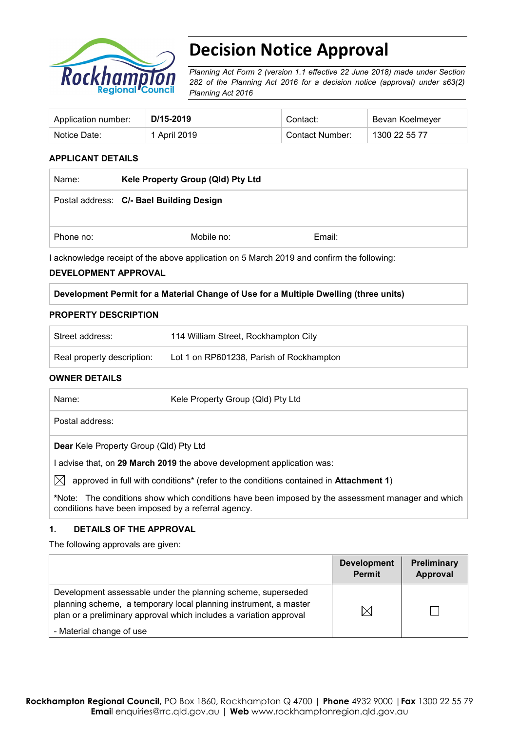

# **Decision Notice Approval**

*Planning Act Form 2 (version 1.1 effective 22 June 2018) made under Section 282 of the Planning Act 2016 for a decision notice (approval) under s63(2) Planning Act 2016*

| Application number: | D/15-2019    | Contact:        | Bevan Koelmeyer |
|---------------------|--------------|-----------------|-----------------|
| Notice Date:        | 1 April 2019 | Contact Number: | 1300 22 55 77   |

## **APPLICANT DETAILS**

| Name:     | Kele Property Group (Qld) Pty Ltd        |        |  |
|-----------|------------------------------------------|--------|--|
|           | Postal address: C/- Bael Building Design |        |  |
| Phone no: | Mobile no:                               | Email: |  |

I acknowledge receipt of the above application on 5 March 2019 and confirm the following:

#### **DEVELOPMENT APPROVAL**

### **Development Permit for a Material Change of Use for a Multiple Dwelling (three units)**

#### **PROPERTY DESCRIPTION**

| Street address:            | 114 William Street, Rockhampton City     |
|----------------------------|------------------------------------------|
| Real property description: | Lot 1 on RP601238, Parish of Rockhampton |

### **OWNER DETAILS**

| Name: |                                               | Kele Property Group (QId) Pty Ltd                                                                 |
|-------|-----------------------------------------------|---------------------------------------------------------------------------------------------------|
|       | Postal address:                               |                                                                                                   |
|       | <b>Dear</b> Kele Property Group (Qld) Pty Ltd |                                                                                                   |
|       |                                               | advise that, on 29 March 2019 the above development application was:                              |
| IXI   |                                               | approved in full with conditions* (refer to the conditions contained in <b>Attachment 1)</b>      |
|       |                                               | *Note: The conditions show which conditions have been imposed by the assessment manager and which |

### **1. DETAILS OF THE APPROVAL**

conditions have been imposed by a referral agency.

The following approvals are given:

|                                                                                                                                                                                                        | <b>Development</b><br><b>Permit</b> | Preliminary<br>Approval |
|--------------------------------------------------------------------------------------------------------------------------------------------------------------------------------------------------------|-------------------------------------|-------------------------|
| Development assessable under the planning scheme, superseded<br>planning scheme, a temporary local planning instrument, a master<br>plan or a preliminary approval which includes a variation approval | $\Join$                             |                         |
| - Material change of use                                                                                                                                                                               |                                     |                         |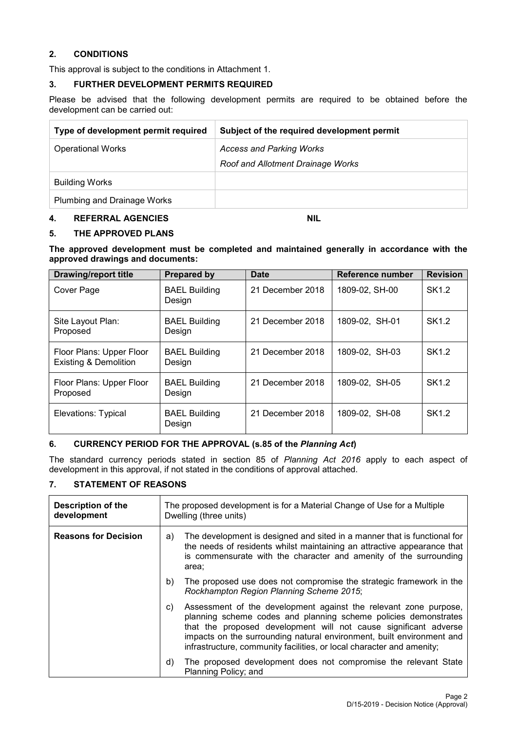## **2. CONDITIONS**

This approval is subject to the conditions in Attachment 1.

## **3. FURTHER DEVELOPMENT PERMITS REQUIRED**

Please be advised that the following development permits are required to be obtained before the development can be carried out:

| Type of development permit required | Subject of the required development permit                           |
|-------------------------------------|----------------------------------------------------------------------|
| <b>Operational Works</b>            | <b>Access and Parking Works</b><br>Roof and Allotment Drainage Works |
| <b>Building Works</b>               |                                                                      |
| Plumbing and Drainage Works         |                                                                      |

#### **4. REFERRAL AGENCIES NIL**

### **5. THE APPROVED PLANS**

**The approved development must be completed and maintained generally in accordance with the approved drawings and documents:**

| <b>Drawing/report title</b>                                  | <b>Prepared by</b>             | Date                | Reference number | <b>Revision</b> |
|--------------------------------------------------------------|--------------------------------|---------------------|------------------|-----------------|
| Cover Page                                                   | <b>BAEL Building</b><br>Design | December 2018<br>21 | 1809-02, SH-00   | SK1.2           |
| Site Layout Plan:<br>Proposed                                | <b>BAEL Building</b><br>Design | 21 December 2018    | 1809-02. SH-01   | SK1.2           |
| Floor Plans: Upper Floor<br><b>Existing &amp; Demolition</b> | <b>BAEL Building</b><br>Design | 21 December 2018    | 1809-02, SH-03   | SK1.2           |
| Floor Plans: Upper Floor<br>Proposed                         | <b>BAEL Building</b><br>Design | 21 December 2018    | 1809-02, SH-05   | SK1.2           |
| Elevations: Typical                                          | <b>BAEL Building</b><br>Design | December 2018<br>21 | 1809-02, SH-08   | SK1.2           |

### **6. CURRENCY PERIOD FOR THE APPROVAL (s.85 of the** *Planning Act***)**

The standard currency periods stated in section 85 of *Planning Act 2016* apply to each aspect of development in this approval, if not stated in the conditions of approval attached.

## **7. STATEMENT OF REASONS**

| <b>Description of the</b><br>development |    | The proposed development is for a Material Change of Use for a Multiple<br>Dwelling (three units)                                                                                                                                                                                                                                                         |  |
|------------------------------------------|----|-----------------------------------------------------------------------------------------------------------------------------------------------------------------------------------------------------------------------------------------------------------------------------------------------------------------------------------------------------------|--|
| <b>Reasons for Decision</b>              | a) | The development is designed and sited in a manner that is functional for<br>the needs of residents whilst maintaining an attractive appearance that<br>is commensurate with the character and amenity of the surrounding<br>area:                                                                                                                         |  |
|                                          | b) | The proposed use does not compromise the strategic framework in the<br>Rockhampton Region Planning Scheme 2015;                                                                                                                                                                                                                                           |  |
|                                          | C) | Assessment of the development against the relevant zone purpose,<br>planning scheme codes and planning scheme policies demonstrates<br>that the proposed development will not cause significant adverse<br>impacts on the surrounding natural environment, built environment and<br>infrastructure, community facilities, or local character and amenity; |  |
|                                          | d) | The proposed development does not compromise the relevant State<br>Planning Policy; and                                                                                                                                                                                                                                                                   |  |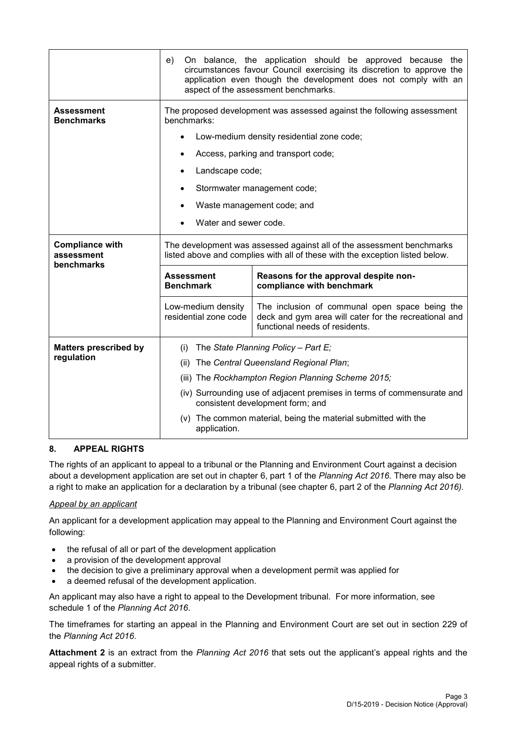|                                                    | On balance, the application should be approved because the<br>e)<br>circumstances favour Council exercising its discretion to approve the<br>application even though the development does not comply with an<br>aspect of the assessment benchmarks. |                                                                                                                                                       |  |  |  |
|----------------------------------------------------|------------------------------------------------------------------------------------------------------------------------------------------------------------------------------------------------------------------------------------------------------|-------------------------------------------------------------------------------------------------------------------------------------------------------|--|--|--|
| <b>Assessment</b><br><b>Benchmarks</b>             | benchmarks:                                                                                                                                                                                                                                          | The proposed development was assessed against the following assessment                                                                                |  |  |  |
|                                                    |                                                                                                                                                                                                                                                      | Low-medium density residential zone code;                                                                                                             |  |  |  |
|                                                    |                                                                                                                                                                                                                                                      | Access, parking and transport code;                                                                                                                   |  |  |  |
|                                                    | Landscape code;                                                                                                                                                                                                                                      |                                                                                                                                                       |  |  |  |
|                                                    |                                                                                                                                                                                                                                                      | Stormwater management code;                                                                                                                           |  |  |  |
|                                                    |                                                                                                                                                                                                                                                      | Waste management code; and                                                                                                                            |  |  |  |
|                                                    | Water and sewer code.                                                                                                                                                                                                                                |                                                                                                                                                       |  |  |  |
|                                                    |                                                                                                                                                                                                                                                      |                                                                                                                                                       |  |  |  |
| <b>Compliance with</b><br>assessment<br>benchmarks |                                                                                                                                                                                                                                                      | The development was assessed against all of the assessment benchmarks<br>listed above and complies with all of these with the exception listed below. |  |  |  |
|                                                    | <b>Assessment</b><br><b>Benchmark</b>                                                                                                                                                                                                                | Reasons for the approval despite non-<br>compliance with benchmark                                                                                    |  |  |  |
|                                                    | Low-medium density<br>The inclusion of communal open space being the<br>residential zone code<br>deck and gym area will cater for the recreational and<br>functional needs of residents.                                                             |                                                                                                                                                       |  |  |  |
| <b>Matters prescribed by</b>                       | (i)                                                                                                                                                                                                                                                  | The State Planning Policy - Part E;                                                                                                                   |  |  |  |
| regulation                                         | (ii)                                                                                                                                                                                                                                                 | The Central Queensland Regional Plan;                                                                                                                 |  |  |  |
|                                                    |                                                                                                                                                                                                                                                      | (iii) The Rockhampton Region Planning Scheme 2015;                                                                                                    |  |  |  |
|                                                    | (iv) Surrounding use of adjacent premises in terms of commensurate and<br>consistent development form; and                                                                                                                                           |                                                                                                                                                       |  |  |  |
|                                                    | (v) The common material, being the material submitted with the<br>application.                                                                                                                                                                       |                                                                                                                                                       |  |  |  |

## **8. APPEAL RIGHTS**

The rights of an applicant to appeal to a tribunal or the Planning and Environment Court against a decision about a development application are set out in chapter 6, part 1 of the *Planning Act 2016*. There may also be a right to make an application for a declaration by a tribunal (see chapter 6, part 2 of the *Planning Act 2016).*

### *Appeal by an applicant*

An applicant for a development application may appeal to the Planning and Environment Court against the following:

- the refusal of all or part of the development application
- a provision of the development approval
- the decision to give a preliminary approval when a development permit was applied for
- a deemed refusal of the development application.

An applicant may also have a right to appeal to the Development tribunal. For more information, see schedule 1 of the *Planning Act 2016*.

The timeframes for starting an appeal in the Planning and Environment Court are set out in section 229 of the *Planning Act 2016*.

**Attachment 2** is an extract from the *Planning Act 2016* that sets out the applicant's appeal rights and the appeal rights of a submitter.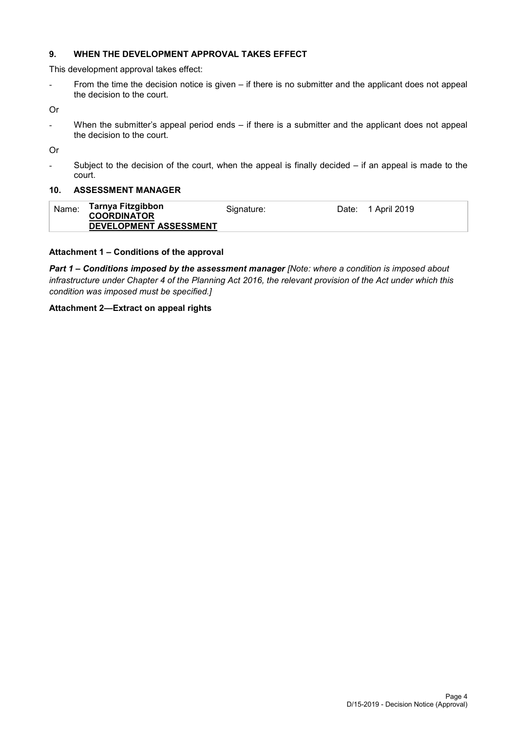## **9. WHEN THE DEVELOPMENT APPROVAL TAKES EFFECT**

This development approval takes effect:

- From the time the decision notice is given – if there is no submitter and the applicant does not appeal the decision to the court.

Or

- When the submitter's appeal period ends – if there is a submitter and the applicant does not appeal the decision to the court.

Or

- Subject to the decision of the court, when the appeal is finally decided – if an appeal is made to the court.

#### **10. ASSESSMENT MANAGER**

| Name: | Tarnya Fitzgibbon<br><b>COORDINATOR</b> | Signature: | Date: | 1 April 2019 |
|-------|-----------------------------------------|------------|-------|--------------|
|       | DEVELOPMENT ASSESSMENT                  |            |       |              |

### **Attachment 1 – Conditions of the approval**

*Part 1* **–** *Conditions imposed by the assessment manager [Note: where a condition is imposed about infrastructure under Chapter 4 of the Planning Act 2016, the relevant provision of the Act under which this condition was imposed must be specified.]*

### **Attachment 2—Extract on appeal rights**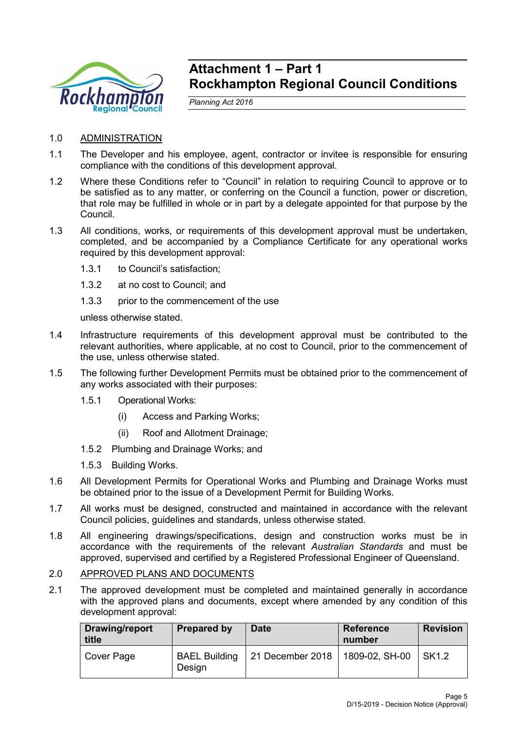

## **Attachment 1 – Part 1 Rockhampton Regional Council Conditions**

*Planning Act 2016*

- 1.0 ADMINISTRATION
- 1.1 The Developer and his employee, agent, contractor or invitee is responsible for ensuring compliance with the conditions of this development approval.
- 1.2 Where these Conditions refer to "Council" in relation to requiring Council to approve or to be satisfied as to any matter, or conferring on the Council a function, power or discretion, that role may be fulfilled in whole or in part by a delegate appointed for that purpose by the Council.
- 1.3 All conditions, works, or requirements of this development approval must be undertaken, completed, and be accompanied by a Compliance Certificate for any operational works required by this development approval:
	- 1.3.1 to Council's satisfaction;
	- 1.3.2 at no cost to Council; and
	- 1.3.3 prior to the commencement of the use

unless otherwise stated.

- 1.4 Infrastructure requirements of this development approval must be contributed to the relevant authorities, where applicable, at no cost to Council, prior to the commencement of the use, unless otherwise stated.
- 1.5 The following further Development Permits must be obtained prior to the commencement of any works associated with their purposes:
	- 1.5.1 Operational Works:
		- (i) Access and Parking Works;
		- (ii) Roof and Allotment Drainage;
	- 1.5.2 Plumbing and Drainage Works; and
	- 1.5.3 Building Works.
- 1.6 All Development Permits for Operational Works and Plumbing and Drainage Works must be obtained prior to the issue of a Development Permit for Building Works.
- 1.7 All works must be designed, constructed and maintained in accordance with the relevant Council policies, guidelines and standards, unless otherwise stated.
- 1.8 All engineering drawings/specifications, design and construction works must be in accordance with the requirements of the relevant *Australian Standards* and must be approved, supervised and certified by a Registered Professional Engineer of Queensland.

## 2.0 APPROVED PLANS AND DOCUMENTS

2.1 The approved development must be completed and maintained generally in accordance with the approved plans and documents, except where amended by any condition of this development approval:

| Drawing/report<br>title | <b>Prepared by</b>             | <b>Date</b>      | <b>Reference</b><br>number | <b>Revision</b> |
|-------------------------|--------------------------------|------------------|----------------------------|-----------------|
| Cover Page              | <b>BAEL Building</b><br>Design | 21 December 2018 | 1809-02, SH-00             | SK1.2           |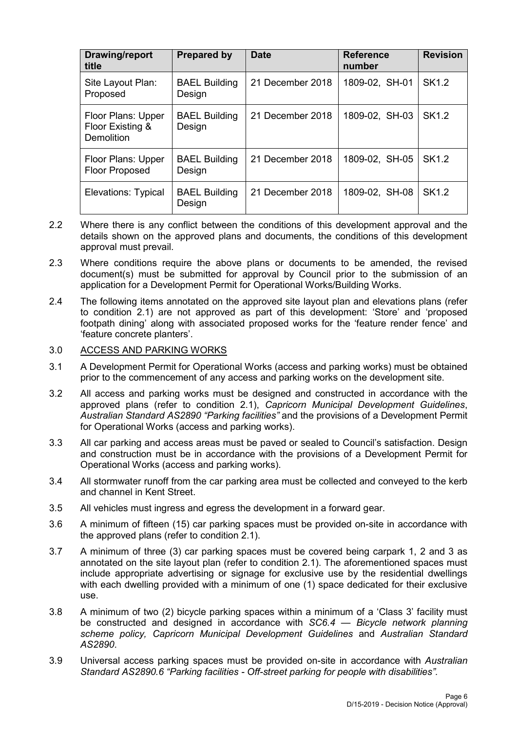| <b>Drawing/report</b><br>title                              | <b>Prepared by</b>             | <b>Date</b>      | <b>Reference</b><br>number | <b>Revision</b>   |
|-------------------------------------------------------------|--------------------------------|------------------|----------------------------|-------------------|
| Site Layout Plan:<br>Proposed                               | <b>BAEL Building</b><br>Design | 21 December 2018 | 1809-02, SH-01             | SK <sub>1.2</sub> |
| Floor Plans: Upper<br>Floor Existing &<br><b>Demolition</b> | <b>BAEL Building</b><br>Design | 21 December 2018 | 1809-02, SH-03             | <b>SK1.2</b>      |
| Floor Plans: Upper<br><b>Floor Proposed</b>                 | <b>BAEL Building</b><br>Design | 21 December 2018 | 1809-02, SH-05             | SK <sub>1.2</sub> |
| Elevations: Typical                                         | <b>BAEL Building</b><br>Design | 21 December 2018 | 1809-02, SH-08             | SK <sub>1.2</sub> |

- 2.2 Where there is any conflict between the conditions of this development approval and the details shown on the approved plans and documents, the conditions of this development approval must prevail.
- 2.3 Where conditions require the above plans or documents to be amended, the revised document(s) must be submitted for approval by Council prior to the submission of an application for a Development Permit for Operational Works/Building Works.
- 2.4 The following items annotated on the approved site layout plan and elevations plans (refer to condition 2.1) are not approved as part of this development: 'Store' and 'proposed footpath dining' along with associated proposed works for the 'feature render fence' and 'feature concrete planters'.

## 3.0 ACCESS AND PARKING WORKS

- 3.1 A Development Permit for Operational Works (access and parking works) must be obtained prior to the commencement of any access and parking works on the development site.
- 3.2 All access and parking works must be designed and constructed in accordance with the approved plans (refer to condition 2.1), *Capricorn Municipal Development Guidelines*, *Australian Standard AS2890 "Parking facilities"* and the provisions of a Development Permit for Operational Works (access and parking works).
- 3.3 All car parking and access areas must be paved or sealed to Council's satisfaction. Design and construction must be in accordance with the provisions of a Development Permit for Operational Works (access and parking works).
- 3.4 All stormwater runoff from the car parking area must be collected and conveyed to the kerb and channel in Kent Street.
- 3.5 All vehicles must ingress and egress the development in a forward gear.
- 3.6 A minimum of fifteen (15) car parking spaces must be provided on-site in accordance with the approved plans (refer to condition 2.1).
- 3.7 A minimum of three (3) car parking spaces must be covered being carpark 1, 2 and 3 as annotated on the site layout plan (refer to condition 2.1). The aforementioned spaces must include appropriate advertising or signage for exclusive use by the residential dwellings with each dwelling provided with a minimum of one (1) space dedicated for their exclusive use.
- 3.8 A minimum of two (2) bicycle parking spaces within a minimum of a 'Class 3' facility must be constructed and designed in accordance with *SC6.4 — Bicycle network planning scheme policy, Capricorn Municipal Development Guidelines* and *Australian Standard AS2890*.
- 3.9 Universal access parking spaces must be provided on-site in accordance with *Australian Standard AS2890.6 "Parking facilities - Off-street parking for people with disabilities".*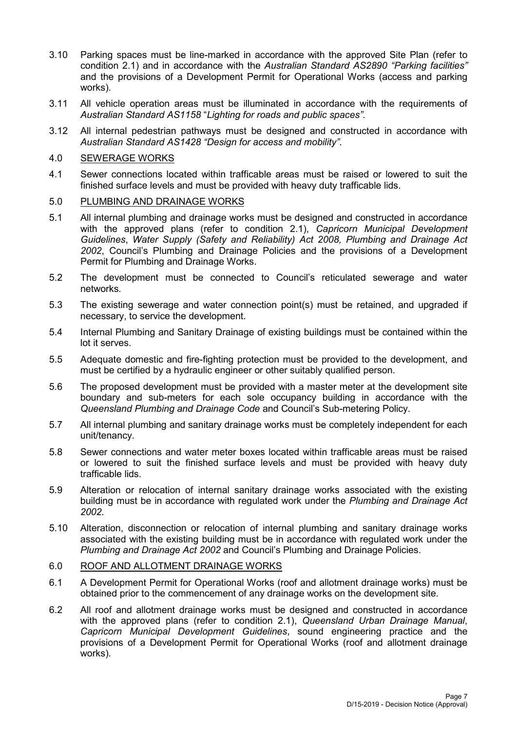- 3.10 Parking spaces must be line-marked in accordance with the approved Site Plan (refer to condition 2.1) and in accordance with the *Australian Standard AS2890 "Parking facilities"* and the provisions of a Development Permit for Operational Works (access and parking works).
- 3.11 All vehicle operation areas must be illuminated in accordance with the requirements of *Australian Standard AS1158* "*Lighting for roads and public spaces"*.
- 3.12 All internal pedestrian pathways must be designed and constructed in accordance with *Australian Standard AS1428 "Design for access and mobility"*.

## 4.0 SEWERAGE WORKS

4.1 Sewer connections located within trafficable areas must be raised or lowered to suit the finished surface levels and must be provided with heavy duty trafficable lids.

## 5.0 PLUMBING AND DRAINAGE WORKS

- 5.1 All internal plumbing and drainage works must be designed and constructed in accordance with the approved plans (refer to condition 2.1), *Capricorn Municipal Development Guidelines*, *Water Supply (Safety and Reliability) Act 2008, Plumbing and Drainage Act 2002*, Council's Plumbing and Drainage Policies and the provisions of a Development Permit for Plumbing and Drainage Works.
- 5.2 The development must be connected to Council's reticulated sewerage and water networks.
- 5.3 The existing sewerage and water connection point(s) must be retained, and upgraded if necessary, to service the development.
- 5.4 Internal Plumbing and Sanitary Drainage of existing buildings must be contained within the lot it serves.
- 5.5 Adequate domestic and fire-fighting protection must be provided to the development, and must be certified by a hydraulic engineer or other suitably qualified person.
- 5.6 The proposed development must be provided with a master meter at the development site boundary and sub-meters for each sole occupancy building in accordance with the *Queensland Plumbing and Drainage Code* and Council's Sub-metering Policy.
- 5.7 All internal plumbing and sanitary drainage works must be completely independent for each unit/tenancy.
- 5.8 Sewer connections and water meter boxes located within trafficable areas must be raised or lowered to suit the finished surface levels and must be provided with heavy duty trafficable lids.
- 5.9 Alteration or relocation of internal sanitary drainage works associated with the existing building must be in accordance with regulated work under the *Plumbing and Drainage Act 2002.*
- 5.10 Alteration, disconnection or relocation of internal plumbing and sanitary drainage works associated with the existing building must be in accordance with regulated work under the *Plumbing and Drainage Act 2002* and Council's Plumbing and Drainage Policies.

### 6.0 ROOF AND ALLOTMENT DRAINAGE WORKS

- 6.1 A Development Permit for Operational Works (roof and allotment drainage works) must be obtained prior to the commencement of any drainage works on the development site.
- 6.2 All roof and allotment drainage works must be designed and constructed in accordance with the approved plans (refer to condition 2.1), *Queensland Urban Drainage Manual*, *Capricorn Municipal Development Guidelines*, sound engineering practice and the provisions of a Development Permit for Operational Works (roof and allotment drainage works).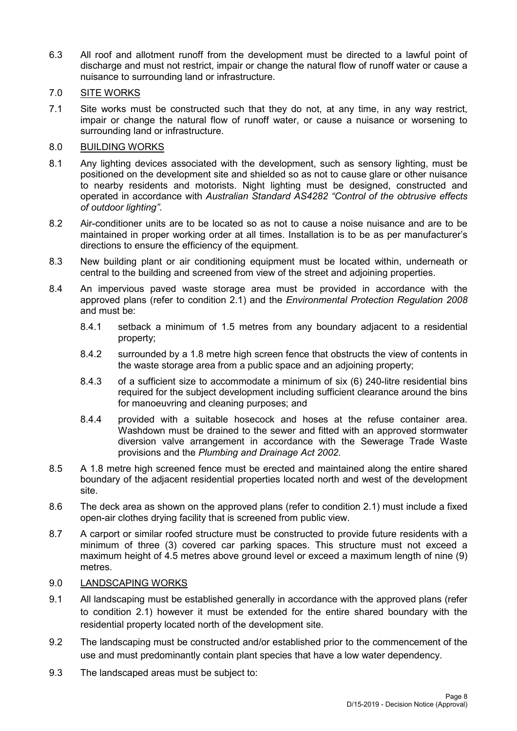6.3 All roof and allotment runoff from the development must be directed to a lawful point of discharge and must not restrict, impair or change the natural flow of runoff water or cause a nuisance to surrounding land or infrastructure.

## 7.0 SITE WORKS

7.1 Site works must be constructed such that they do not, at any time, in any way restrict, impair or change the natural flow of runoff water, or cause a nuisance or worsening to surrounding land or infrastructure.

## 8.0 BUILDING WORKS

- 8.1 Any lighting devices associated with the development, such as sensory lighting, must be positioned on the development site and shielded so as not to cause glare or other nuisance to nearby residents and motorists. Night lighting must be designed, constructed and operated in accordance with *Australian Standard AS4282 "Control of the obtrusive effects of outdoor lighting"*.
- 8.2 Air-conditioner units are to be located so as not to cause a noise nuisance and are to be maintained in proper working order at all times. Installation is to be as per manufacturer's directions to ensure the efficiency of the equipment.
- 8.3 New building plant or air conditioning equipment must be located within, underneath or central to the building and screened from view of the street and adjoining properties.
- 8.4 An impervious paved waste storage area must be provided in accordance with the approved plans (refer to condition 2.1) and the *Environmental Protection Regulation 2008* and must be:
	- 8.4.1 setback a minimum of 1.5 metres from any boundary adjacent to a residential property;
	- 8.4.2 surrounded by a 1.8 metre high screen fence that obstructs the view of contents in the waste storage area from a public space and an adjoining property;
	- 8.4.3 of a sufficient size to accommodate a minimum of six (6) 240-litre residential bins required for the subject development including sufficient clearance around the bins for manoeuvring and cleaning purposes; and
	- 8.4.4 provided with a suitable hosecock and hoses at the refuse container area. Washdown must be drained to the sewer and fitted with an approved stormwater diversion valve arrangement in accordance with the Sewerage Trade Waste provisions and the *Plumbing and Drainage Act 2002.*
- 8.5 A 1.8 metre high screened fence must be erected and maintained along the entire shared boundary of the adjacent residential properties located north and west of the development site.
- 8.6 The deck area as shown on the approved plans (refer to condition 2.1) must include a fixed open-air clothes drying facility that is screened from public view.
- 8.7 A carport or similar roofed structure must be constructed to provide future residents with a minimum of three (3) covered car parking spaces. This structure must not exceed a maximum height of 4.5 metres above ground level or exceed a maximum length of nine (9) metres.

## 9.0 LANDSCAPING WORKS

- 9.1 All landscaping must be established generally in accordance with the approved plans (refer to condition 2.1) however it must be extended for the entire shared boundary with the residential property located north of the development site.
- 9.2 The landscaping must be constructed and/or established prior to the commencement of the use and must predominantly contain plant species that have a low water dependency.
- 9.3 The landscaped areas must be subject to: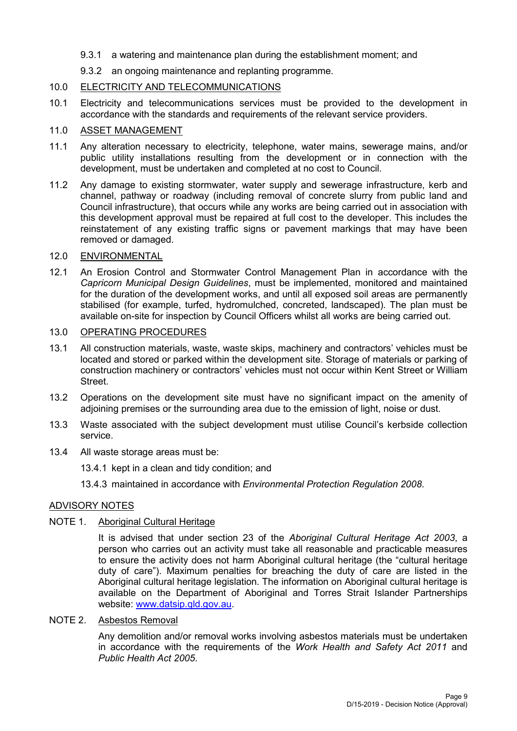- 9.3.1 a watering and maintenance plan during the establishment moment; and
- 9.3.2 an ongoing maintenance and replanting programme.

## 10.0 ELECTRICITY AND TELECOMMUNICATIONS

10.1 Electricity and telecommunications services must be provided to the development in accordance with the standards and requirements of the relevant service providers.

## 11.0 ASSET MANAGEMENT

- 11.1 Any alteration necessary to electricity, telephone, water mains, sewerage mains, and/or public utility installations resulting from the development or in connection with the development, must be undertaken and completed at no cost to Council.
- 11.2 Any damage to existing stormwater, water supply and sewerage infrastructure, kerb and channel, pathway or roadway (including removal of concrete slurry from public land and Council infrastructure), that occurs while any works are being carried out in association with this development approval must be repaired at full cost to the developer. This includes the reinstatement of any existing traffic signs or pavement markings that may have been removed or damaged.

## 12.0 ENVIRONMENTAL

12.1 An Erosion Control and Stormwater Control Management Plan in accordance with the *Capricorn Municipal Design Guidelines*, must be implemented, monitored and maintained for the duration of the development works, and until all exposed soil areas are permanently stabilised (for example, turfed, hydromulched, concreted, landscaped). The plan must be available on-site for inspection by Council Officers whilst all works are being carried out.

## 13.0 OPERATING PROCEDURES

- 13.1 All construction materials, waste, waste skips, machinery and contractors' vehicles must be located and stored or parked within the development site. Storage of materials or parking of construction machinery or contractors' vehicles must not occur within Kent Street or William Street.
- 13.2 Operations on the development site must have no significant impact on the amenity of adjoining premises or the surrounding area due to the emission of light, noise or dust.
- 13.3 Waste associated with the subject development must utilise Council's kerbside collection service.
- 13.4 All waste storage areas must be:
	- 13.4.1 kept in a clean and tidy condition; and
	- 13.4.3 maintained in accordance with *Environmental Protection Regulation 2008*.

## ADVISORY NOTES

## NOTE 1. Aboriginal Cultural Heritage

It is advised that under section 23 of the *Aboriginal Cultural Heritage Act 2003*, a person who carries out an activity must take all reasonable and practicable measures to ensure the activity does not harm Aboriginal cultural heritage (the "cultural heritage duty of care"). Maximum penalties for breaching the duty of care are listed in the Aboriginal cultural heritage legislation. The information on Aboriginal cultural heritage is available on the Department of Aboriginal and Torres Strait Islander Partnerships website: [www.datsip.qld.gov.au.](http://www.datsip.qld.gov.au/)

### NOTE 2. Asbestos Removal

Any demolition and/or removal works involving asbestos materials must be undertaken in accordance with the requirements of the *Work Health and Safety Act 2011* and *Public Health Act 2005*.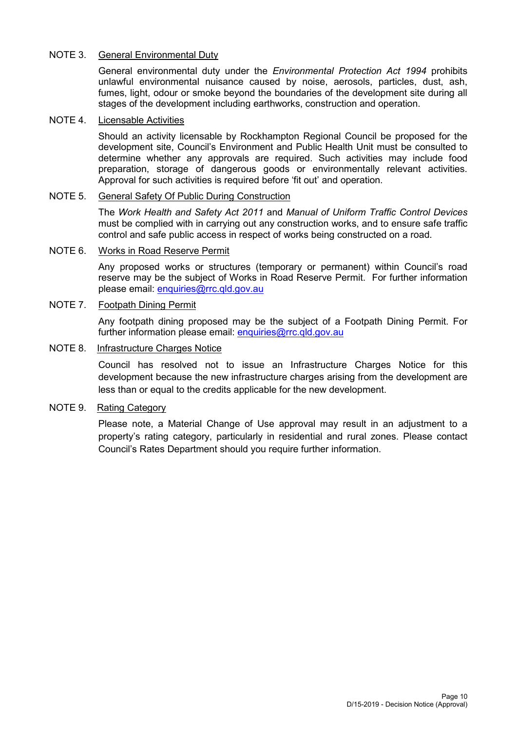## NOTE 3. General Environmental Duty

General environmental duty under the *Environmental Protection Act 1994* prohibits unlawful environmental nuisance caused by noise, aerosols, particles, dust, ash, fumes, light, odour or smoke beyond the boundaries of the development site during all stages of the development including earthworks, construction and operation.

## NOTE 4. Licensable Activities

Should an activity licensable by Rockhampton Regional Council be proposed for the development site, Council's Environment and Public Health Unit must be consulted to determine whether any approvals are required. Such activities may include food preparation, storage of dangerous goods or environmentally relevant activities. Approval for such activities is required before 'fit out' and operation.

## NOTE 5. General Safety Of Public During Construction

The *Work Health and Safety Act 2011* and *Manual of Uniform Traffic Control Devices* must be complied with in carrying out any construction works, and to ensure safe traffic control and safe public access in respect of works being constructed on a road.

#### NOTE 6. Works in Road Reserve Permit

Any proposed works or structures (temporary or permanent) within Council's road reserve may be the subject of Works in Road Reserve Permit. For further information please email: [enquiries@rrc.qld.gov.au](mailto:enquiries@rrc.qld.gov.au) 

### NOTE 7. Footpath Dining Permit

Any footpath dining proposed may be the subject of a Footpath Dining Permit. For further information please email: [enquiries@rrc.qld.gov.au](mailto:enquiries@rrc.qld.gov.au) 

### NOTE 8. Infrastructure Charges Notice

Council has resolved not to issue an Infrastructure Charges Notice for this development because the new infrastructure charges arising from the development are less than or equal to the credits applicable for the new development.

### NOTE 9. Rating Category

Please note, a Material Change of Use approval may result in an adjustment to a property's rating category, particularly in residential and rural zones. Please contact Council's Rates Department should you require further information.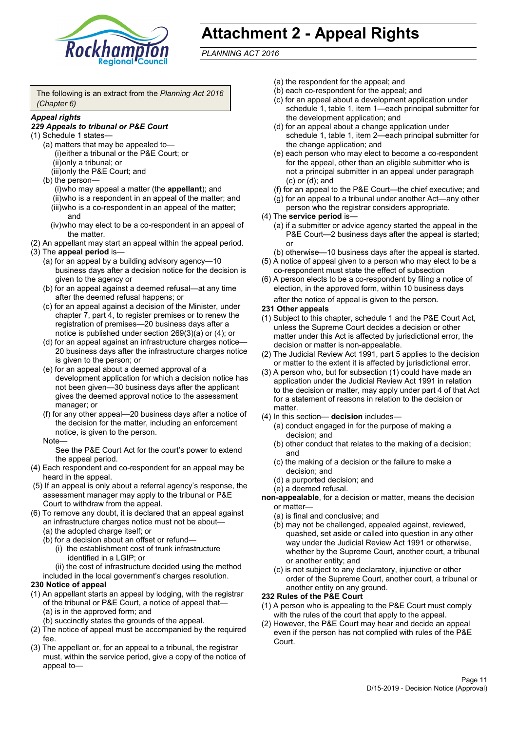

# **Attachment 2 - Appeal Rights**

*PLANNING ACT 2016*

The following is an extract from the *Planning Act 2016 (Chapter 6)*

#### *Appeal rights*

## *229 Appeals to tribunal or P&E Court*

- (1) Schedule 1 states—
	- (a) matters that may be appealed to— (i)either a tribunal or the P&E Court; or (ii)only a tribunal; or (iii)only the P&E Court; and
	- (b) the person—

(i)who may appeal a matter (the **appellant**); and (ii)who is a respondent in an appeal of the matter; and (iii)who is a co-respondent in an appeal of the matter; and

- (iv)who may elect to be a co-respondent in an appeal of the matter.
- (2) An appellant may start an appeal within the appeal period.
- (3) The **appeal period** is—
	- (a) for an appeal by a building advisory agency—10 business days after a decision notice for the decision is given to the agency or
	- (b) for an appeal against a deemed refusal—at any time after the deemed refusal happens; or
	- (c) for an appeal against a decision of the Minister, under chapter 7, part 4, to register premises or to renew the registration of premises—20 business days after a notice is published under section 269(3)(a) or (4); or
	- (d) for an appeal against an infrastructure charges notice— 20 business days after the infrastructure charges notice is given to the person; or
	- (e) for an appeal about a deemed approval of a development application for which a decision notice has not been given—30 business days after the applicant gives the deemed approval notice to the assessment manager; or
	- (f) for any other appeal—20 business days after a notice of the decision for the matter, including an enforcement notice, is given to the person.

#### Note—

See the P&E Court Act for the court's power to extend the appeal period.

- (4) Each respondent and co-respondent for an appeal may be heard in the appeal.
- (5) If an appeal is only about a referral agency's response, the assessment manager may apply to the tribunal or P&E Court to withdraw from the appeal.
- (6) To remove any doubt, it is declared that an appeal against an infrastructure charges notice must not be about—
	- (a) the adopted charge itself; or
	- (b) for a decision about an offset or refund—
		- (i) the establishment cost of trunk infrastructure identified in a LGIP; or
		- (ii) the cost of infrastructure decided using the method

included in the local government's charges resolution.

- **230 Notice of appeal**
- (1) An appellant starts an appeal by lodging, with the registrar of the tribunal or P&E Court, a notice of appeal that—
	- (a) is in the approved form; and
	- (b) succinctly states the grounds of the appeal.
- (2) The notice of appeal must be accompanied by the required fee.
- (3) The appellant or, for an appeal to a tribunal, the registrar must, within the service period, give a copy of the notice of appeal to—
- (a) the respondent for the appeal; and
- (b) each co-respondent for the appeal; and
- (c) for an appeal about a development application under schedule 1, table 1, item 1—each principal submitter for the development application; and
- (d) for an appeal about a change application under schedule 1, table 1, item 2—each principal submitter for the change application; and
- (e) each person who may elect to become a co-respondent for the appeal, other than an eligible submitter who is not a principal submitter in an appeal under paragraph (c) or (d); and
- (f) for an appeal to the P&E Court—the chief executive; and
- (g) for an appeal to a tribunal under another Act—any other person who the registrar considers appropriate.
- (4) The **service period** is—
	- (a) if a submitter or advice agency started the appeal in the P&E Court—2 business days after the appeal is started; or
	- (b) otherwise—10 business days after the appeal is started.
- (5) A notice of appeal given to a person who may elect to be a co-respondent must state the effect of subsection
- (6) A person elects to be a co-respondent by filing a notice of election, in the approved form, within 10 business days after the notice of appeal is given to the person*.*
- **231 Other appeals**
- (1) Subject to this chapter, schedule 1 and the P&E Court Act, unless the Supreme Court decides a decision or other matter under this Act is affected by jurisdictional error, the decision or matter is non-appealable.
- (2) The Judicial Review Act 1991, part 5 applies to the decision or matter to the extent it is affected by jurisdictional error.
- (3) A person who, but for subsection (1) could have made an application under the Judicial Review Act 1991 in relation to the decision or matter, may apply under part 4 of that Act for a statement of reasons in relation to the decision or matter.
- (4) In this section— **decision** includes—
	- (a) conduct engaged in for the purpose of making a decision; and
	- (b) other conduct that relates to the making of a decision; and
	- (c) the making of a decision or the failure to make a decision; and
	- (d) a purported decision; and
	- (e) a deemed refusal.

**non-appealable**, for a decision or matter, means the decision or matter—

- (a) is final and conclusive; and
- (b) may not be challenged, appealed against, reviewed, quashed, set aside or called into question in any other way under the Judicial Review Act 1991 or otherwise, whether by the Supreme Court, another court, a tribunal or another entity; and
- (c) is not subject to any declaratory, injunctive or other order of the Supreme Court, another court, a tribunal or another entity on any ground.

#### **232 Rules of the P&E Court**

- (1) A person who is appealing to the P&E Court must comply with the rules of the court that apply to the appeal.
- (2) However, the P&E Court may hear and decide an appeal even if the person has not complied with rules of the P&E Court.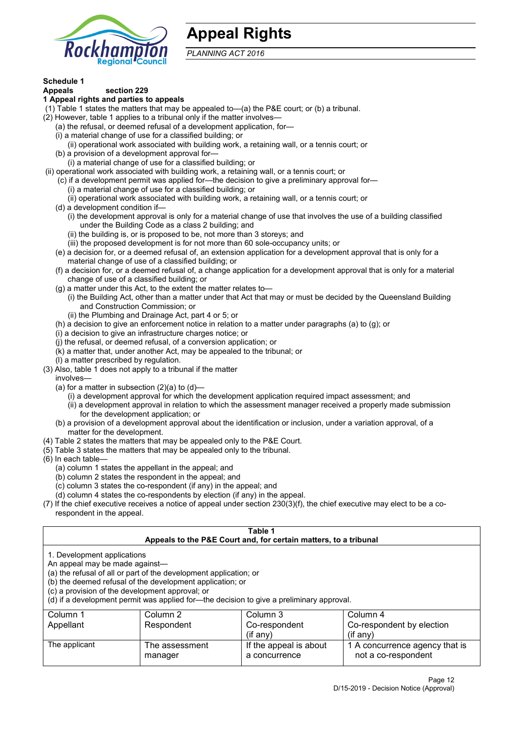

## **Appeal Rights**

*PLANNING ACT 2016*

## **Schedule 1**

#### **Appeals section 229 1 Appeal rights and parties to appeals**

- (1) Table 1 states the matters that may be appealed to—(a) the P&E court; or (b) a tribunal.
- (2) However, table 1 applies to a tribunal only if the matter involves—
	- (a) the refusal, or deemed refusal of a development application, for—
	- (i) a material change of use for a classified building; or
	- (ii) operational work associated with building work, a retaining wall, or a tennis court; or
	- (b) a provision of a development approval for—
	- (i) a material change of use for a classified building; or
- (ii) operational work associated with building work, a retaining wall, or a tennis court; or
	- (c) if a development permit was applied for—the decision to give a preliminary approval for—
		- (i) a material change of use for a classified building; or
	- (ii) operational work associated with building work, a retaining wall, or a tennis court; or
	- (d) a development condition if—
		- (i) the development approval is only for a material change of use that involves the use of a building classified under the Building Code as a class 2 building; and
		- (ii) the building is, or is proposed to be, not more than 3 storeys; and
		- (iii) the proposed development is for not more than 60 sole-occupancy units; or
	- (e) a decision for, or a deemed refusal of, an extension application for a development approval that is only for a material change of use of a classified building; or
	- (f) a decision for, or a deemed refusal of, a change application for a development approval that is only for a material change of use of a classified building; or
	- (g) a matter under this Act, to the extent the matter relates to—
		- (i) the Building Act, other than a matter under that Act that may or must be decided by the Queensland Building and Construction Commission; or
		- (ii) the Plumbing and Drainage Act, part 4 or 5; or
	- (h) a decision to give an enforcement notice in relation to a matter under paragraphs (a) to (g); or
	- (i) a decision to give an infrastructure charges notice; or
	- (j) the refusal, or deemed refusal, of a conversion application; or
	- (k) a matter that, under another Act, may be appealed to the tribunal; or
	- (l) a matter prescribed by regulation.
- (3) Also, table 1 does not apply to a tribunal if the matter

involves—

- (a) for a matter in subsection  $(2)(a)$  to  $(d)$ 
	- (i) a development approval for which the development application required impact assessment; and
	- (ii) a development approval in relation to which the assessment manager received a properly made submission for the development application; or
- (b) a provision of a development approval about the identification or inclusion, under a variation approval, of a matter for the development.
- (4) Table 2 states the matters that may be appealed only to the P&E Court.
- (5) Table 3 states the matters that may be appealed only to the tribunal.
- (6) In each table—
	- (a) column 1 states the appellant in the appeal; and
	- (b) column 2 states the respondent in the appeal; and
	- (c) column 3 states the co-respondent (if any) in the appeal; and
	- (d) column 4 states the co-respondents by election (if any) in the appeal.
- (7) If the chief executive receives a notice of appeal under section 230(3)(f), the chief executive may elect to be a corespondent in the appeal.

| Table 1                                                                                                                                                                                                                                                                                                                                        |                                  |                                                                  |                                                       |  |  |
|------------------------------------------------------------------------------------------------------------------------------------------------------------------------------------------------------------------------------------------------------------------------------------------------------------------------------------------------|----------------------------------|------------------------------------------------------------------|-------------------------------------------------------|--|--|
|                                                                                                                                                                                                                                                                                                                                                |                                  | Appeals to the P&E Court and, for certain matters, to a tribunal |                                                       |  |  |
| 1. Development applications<br>An appeal may be made against-<br>(a) the refusal of all or part of the development application; or<br>(b) the deemed refusal of the development application; or<br>(c) a provision of the development approval; or<br>(d) if a development permit was applied for-the decision to give a preliminary approval. |                                  |                                                                  |                                                       |  |  |
| Column 1                                                                                                                                                                                                                                                                                                                                       | Column 2<br>Column 3<br>Column 4 |                                                                  |                                                       |  |  |
| Appellant                                                                                                                                                                                                                                                                                                                                      | Respondent                       | Co-respondent                                                    | Co-respondent by election                             |  |  |
| $($ if any $)$<br>$(f \text{an} v)$                                                                                                                                                                                                                                                                                                            |                                  |                                                                  |                                                       |  |  |
| The applicant                                                                                                                                                                                                                                                                                                                                  | The assessment<br>manager        | If the appeal is about<br>a concurrence                          | 1 A concurrence agency that is<br>not a co-respondent |  |  |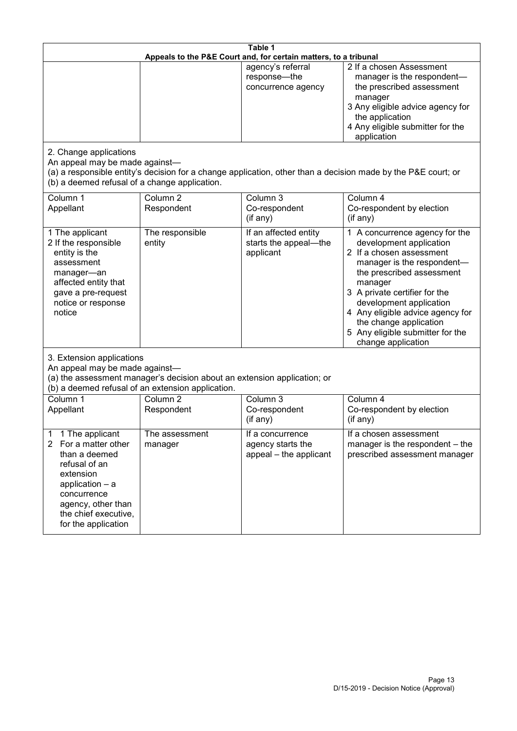| Table 1<br>Appeals to the P&E Court and, for certain matters, to a tribunal                                                                                                                                      |                                   |                                                                 |                                                                                                                                                                                                                                                                                                                                                 |  |
|------------------------------------------------------------------------------------------------------------------------------------------------------------------------------------------------------------------|-----------------------------------|-----------------------------------------------------------------|-------------------------------------------------------------------------------------------------------------------------------------------------------------------------------------------------------------------------------------------------------------------------------------------------------------------------------------------------|--|
|                                                                                                                                                                                                                  |                                   | agency's referral<br>response-the<br>concurrence agency         | 2 If a chosen Assessment<br>manager is the respondent-<br>the prescribed assessment<br>manager<br>3 Any eligible advice agency for<br>the application<br>4 Any eligible submitter for the<br>application                                                                                                                                        |  |
| 2. Change applications<br>An appeal may be made against-<br>(b) a deemed refusal of a change application.                                                                                                        |                                   |                                                                 | (a) a responsible entity's decision for a change application, other than a decision made by the P&E court; or                                                                                                                                                                                                                                   |  |
| Column 1<br>Appellant                                                                                                                                                                                            | Column <sub>2</sub><br>Respondent | Column 3<br>Co-respondent<br>(if any)                           | Column 4<br>Co-respondent by election<br>(if any)                                                                                                                                                                                                                                                                                               |  |
| 1 The applicant<br>2 If the responsible<br>entity is the<br>assessment<br>manager-an<br>affected entity that<br>gave a pre-request<br>notice or response<br>notice                                               | The responsible<br>entity         | If an affected entity<br>starts the appeal-the<br>applicant     | 1 A concurrence agency for the<br>development application<br>2 If a chosen assessment<br>manager is the respondent-<br>the prescribed assessment<br>manager<br>3 A private certifier for the<br>development application<br>4 Any eligible advice agency for<br>the change application<br>5 Any eligible submitter for the<br>change application |  |
| 3. Extension applications<br>An appeal may be made against-<br>(a) the assessment manager's decision about an extension application; or<br>(b) a deemed refusal of an extension application.                     |                                   |                                                                 |                                                                                                                                                                                                                                                                                                                                                 |  |
| Column 1<br>Appellant                                                                                                                                                                                            | Column <sub>2</sub><br>Respondent | Column 3<br>Co-respondent<br>(if any)                           | Column 4<br>Co-respondent by election<br>(if any)                                                                                                                                                                                                                                                                                               |  |
| 1 The applicant<br>1<br>For a matter other<br>$\mathbf{2}$<br>than a deemed<br>refusal of an<br>extension<br>application - a<br>concurrence<br>agency, other than<br>the chief executive,<br>for the application | The assessment<br>manager         | If a concurrence<br>agency starts the<br>appeal - the applicant | If a chosen assessment<br>manager is the respondent – the<br>prescribed assessment manager                                                                                                                                                                                                                                                      |  |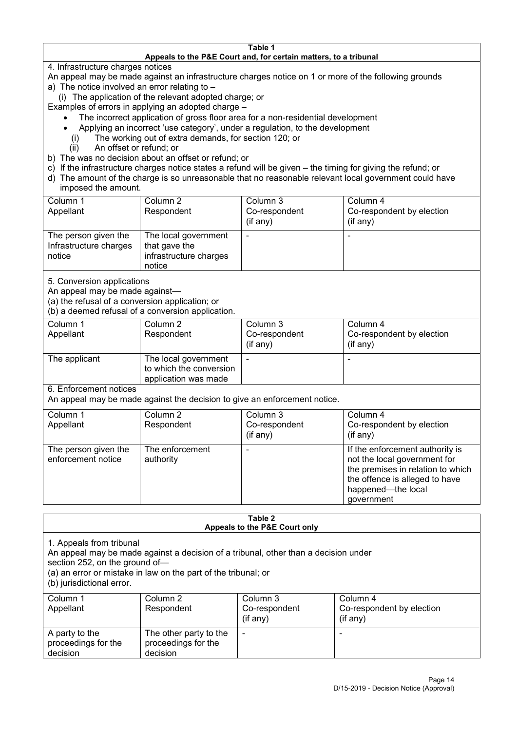#### **Table 1 Appeals to the P&E Court and, for certain matters, to a tribunal**

4. Infrastructure charges notices

- An appeal may be made against an infrastructure charges notice on 1 or more of the following grounds
- a) The notice involved an error relating to
	- (i) The application of the relevant adopted charge; or
- Examples of errors in applying an adopted charge
	- The incorrect application of gross floor area for a non-residential development
	- Applying an incorrect 'use category', under a regulation, to the development
	- (i) The working out of extra demands, for section 120; or
	- (ii) An offset or refund; or
- b) The was no decision about an offset or refund; or
- c) If the infrastructure charges notice states a refund will be given the timing for giving the refund; or
- d) The amount of the charge is so unreasonable that no reasonable relevant local government could have
- imposed the amount.

| Column 1                                                 | Column 2                                                                  | Column 3      | Column 4                  |
|----------------------------------------------------------|---------------------------------------------------------------------------|---------------|---------------------------|
| Appellant                                                | Respondent                                                                | Co-respondent | Co-respondent by election |
|                                                          |                                                                           | (if any)      | $(if$ any)                |
| The person given the<br>Infrastructure charges<br>notice | The local government<br>that gave the<br>infrastructure charges<br>notice |               |                           |

5. Conversion applications

An appeal may be made against—

(a) the refusal of a conversion application; or

(b) a deemed refusal of a conversion application.

| Column 1<br>Appellant | Column 2<br>Respondent                                                  | Column 3<br>Co-respondent | Column 4<br>Co-respondent by election |
|-----------------------|-------------------------------------------------------------------------|---------------------------|---------------------------------------|
|                       |                                                                         | $($ if any $)$            | $(if$ any)                            |
| The applicant         | The local government<br>to which the conversion<br>application was made |                           |                                       |

6. Enforcement notices

An appeal may be made against the decision to give an enforcement notice.

| Column 1                                   | Column 2                     | Column 3      | Column 4                                                                                                                                                                   |
|--------------------------------------------|------------------------------|---------------|----------------------------------------------------------------------------------------------------------------------------------------------------------------------------|
| Appellant                                  | Respondent                   | Co-respondent | Co-respondent by election                                                                                                                                                  |
|                                            |                              | (if any)      | $($ if any $)$                                                                                                                                                             |
| The person given the<br>enforcement notice | The enforcement<br>authority |               | If the enforcement authority is<br>not the local government for<br>the premises in relation to which<br>the offence is alleged to have<br>happened-the local<br>government |

#### **Table 2 Appeals to the P&E Court only**

1. Appeals from tribunal

An appeal may be made against a decision of a tribunal, other than a decision under

section 252, on the ground of—

(a) an error or mistake in law on the part of the tribunal; or

(b) jurisdictional error.

| Column 1<br>Appellant                             | Column 2<br>Respondent                                    | Column 3<br>Co-respondent<br>$($ if any $)$ | Column 4<br>Co-respondent by election<br>$($ if any $)$ |
|---------------------------------------------------|-----------------------------------------------------------|---------------------------------------------|---------------------------------------------------------|
| A party to the<br>proceedings for the<br>decision | The other party to the<br>proceedings for the<br>decision | $\overline{\phantom{a}}$                    |                                                         |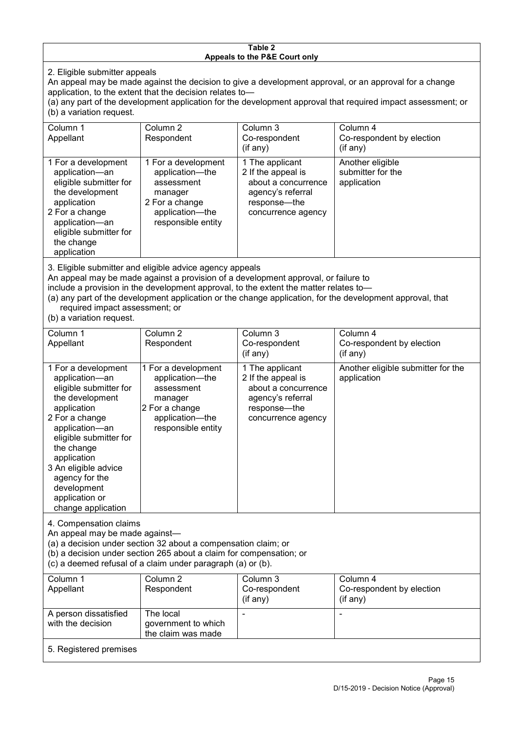#### **Table 2 Appeals to the P&E Court only**

2. Eligible submitter appeals

An appeal may be made against the decision to give a development approval, or an approval for a change application, to the extent that the decision relates to—

(a) any part of the development application for the development approval that required impact assessment; or (b) a variation request.

| Column 1<br>Appellant                                                                                                                                                                                                                                                                                                                                | Column 2<br>Respondent                                                                                                     | Column 3<br>Co-respondent<br>$($ if any $)$                                                                             | Column 4<br>Co-respondent by election<br>(if any)    |  |
|------------------------------------------------------------------------------------------------------------------------------------------------------------------------------------------------------------------------------------------------------------------------------------------------------------------------------------------------------|----------------------------------------------------------------------------------------------------------------------------|-------------------------------------------------------------------------------------------------------------------------|------------------------------------------------------|--|
| 1 For a development<br>application-an<br>eligible submitter for<br>the development<br>application<br>2 For a change<br>application-an<br>eligible submitter for<br>the change<br>application                                                                                                                                                         | 1 For a development<br>application-the<br>assessment<br>manager<br>2 For a change<br>application—the<br>responsible entity | 1 The applicant<br>2 If the appeal is<br>about a concurrence<br>agency's referral<br>response-the<br>concurrence agency | Another eligible<br>submitter for the<br>application |  |
| 3. Eligible submitter and eligible advice agency appeals<br>An appeal may be made against a provision of a development approval, or failure to<br>include a provision in the development approval, to the extent the matter relates to-<br>(a) any part of the development application or the change application, for the development approval, that |                                                                                                                            |                                                                                                                         |                                                      |  |

required impact assessment; or

(b) a variation request.

| Column 1                                                                                                                                                                                                                                                                                      | Column 2                                                                                                                   | Column 3                                                                                                                  | Column 4                                          |
|-----------------------------------------------------------------------------------------------------------------------------------------------------------------------------------------------------------------------------------------------------------------------------------------------|----------------------------------------------------------------------------------------------------------------------------|---------------------------------------------------------------------------------------------------------------------------|---------------------------------------------------|
| Appellant                                                                                                                                                                                                                                                                                     | Respondent                                                                                                                 | Co-respondent                                                                                                             | Co-respondent by election                         |
|                                                                                                                                                                                                                                                                                               |                                                                                                                            | $($ if any $)$                                                                                                            | (if any)                                          |
| 1 For a development<br>application-an<br>eligible submitter for<br>the development<br>application<br>2 For a change<br>application-an<br>eligible submitter for<br>the change<br>application<br>3 An eligible advice<br>agency for the<br>development<br>application or<br>change application | 1 For a development<br>application-the<br>assessment<br>manager<br>2 For a change<br>application-the<br>responsible entity | 1 The applicant<br>2 If the appeal is<br>about a concurrence<br>agency's referral<br>response---the<br>concurrence agency | Another eligible submitter for the<br>application |
| 4. Compensation claims<br>An appeal may be made against-<br>(a) a decision under section 32 about a compensation claim; or<br>(b) a decision under section 265 about a claim for compensation; or<br>(c) a deemed refusal of a claim under paragraph (a) or (b).                              |                                                                                                                            |                                                                                                                           |                                                   |
| Column 1                                                                                                                                                                                                                                                                                      | Column <sub>2</sub>                                                                                                        | Column 3                                                                                                                  | Column 4                                          |
| Appellant                                                                                                                                                                                                                                                                                     | Respondent                                                                                                                 | Co-respondent<br>(if any)                                                                                                 | Co-respondent by election<br>(if any)             |
| A person dissatisfied                                                                                                                                                                                                                                                                         | The local                                                                                                                  |                                                                                                                           |                                                   |
| with the decision                                                                                                                                                                                                                                                                             | government to which                                                                                                        |                                                                                                                           |                                                   |
|                                                                                                                                                                                                                                                                                               | the claim was made                                                                                                         |                                                                                                                           |                                                   |

5. Registered premises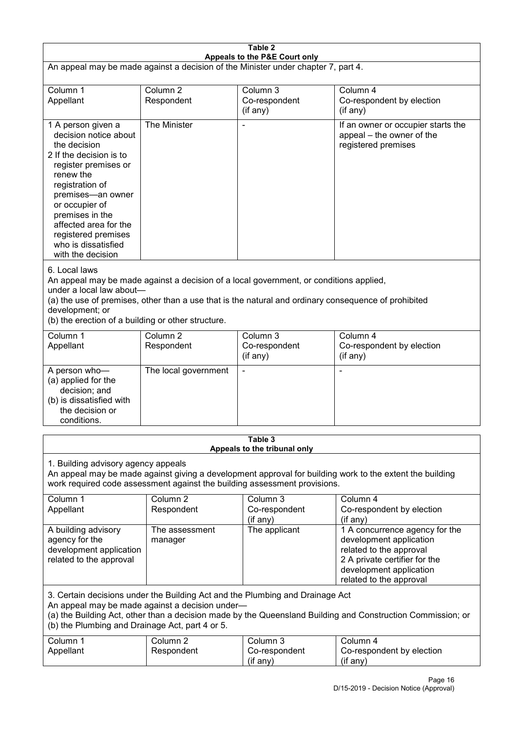| Table 2<br>Appeals to the P&E Court only                                                                                                                                                                                                                                                             |                                   |                                                                                                                                                                                                |                                                                                                                                                                             |  |
|------------------------------------------------------------------------------------------------------------------------------------------------------------------------------------------------------------------------------------------------------------------------------------------------------|-----------------------------------|------------------------------------------------------------------------------------------------------------------------------------------------------------------------------------------------|-----------------------------------------------------------------------------------------------------------------------------------------------------------------------------|--|
| An appeal may be made against a decision of the Minister under chapter 7, part 4.                                                                                                                                                                                                                    |                                   |                                                                                                                                                                                                |                                                                                                                                                                             |  |
| Column 1<br>Appellant                                                                                                                                                                                                                                                                                | Column <sub>2</sub><br>Respondent | Column 3<br>Co-respondent<br>(if any)                                                                                                                                                          | Column 4<br>Co-respondent by election<br>(if any)                                                                                                                           |  |
| 1 A person given a<br>decision notice about<br>the decision<br>2 If the decision is to<br>register premises or<br>renew the<br>registration of<br>premises-an owner<br>or occupier of<br>premises in the<br>affected area for the<br>registered premises<br>who is dissatisfied<br>with the decision | The Minister                      |                                                                                                                                                                                                | If an owner or occupier starts the<br>appeal – the owner of the<br>registered premises                                                                                      |  |
| 6. Local laws<br>under a local law about-<br>development; or<br>(b) the erection of a building or other structure.                                                                                                                                                                                   |                                   | An appeal may be made against a decision of a local government, or conditions applied,<br>(a) the use of premises, other than a use that is the natural and ordinary consequence of prohibited |                                                                                                                                                                             |  |
| Column 1<br>Appellant                                                                                                                                                                                                                                                                                | Column <sub>2</sub><br>Respondent | Column $3$<br>Co-respondent<br>(if any)                                                                                                                                                        | Column 4<br>Co-respondent by election<br>(if any)                                                                                                                           |  |
| A person who-<br>(a) applied for the<br>decision; and<br>(b) is dissatisfied with<br>the decision or<br>conditions.                                                                                                                                                                                  | The local government              |                                                                                                                                                                                                | L,                                                                                                                                                                          |  |
|                                                                                                                                                                                                                                                                                                      |                                   | Table 3<br>Appeals to the tribunal only                                                                                                                                                        |                                                                                                                                                                             |  |
| 1. Building advisory agency appeals<br>An appeal may be made against giving a development approval for building work to the extent the building<br>work required code assessment against the building assessment provisions.                                                                         |                                   |                                                                                                                                                                                                |                                                                                                                                                                             |  |
| Column 1<br>Appellant                                                                                                                                                                                                                                                                                | Column <sub>2</sub><br>Respondent | Column 3<br>Co-respondent<br>(if any)                                                                                                                                                          | Column 4<br>Co-respondent by election<br>(if any)                                                                                                                           |  |
| A building advisory<br>agency for the<br>development application<br>related to the approval                                                                                                                                                                                                          | The assessment<br>manager         | The applicant                                                                                                                                                                                  | 1 A concurrence agency for the<br>development application<br>related to the approval<br>2 A private certifier for the<br>development application<br>related to the approval |  |
| 3. Certain decisions under the Building Act and the Plumbing and Drainage Act<br>An appeal may be made against a decision under-<br>(a) the Building Act, other than a decision made by the Queensland Building and Construction Commission; or<br>(b) the Plumbing and Drainage Act, part 4 or 5.   |                                   |                                                                                                                                                                                                |                                                                                                                                                                             |  |
| Column 1<br>Appellant                                                                                                                                                                                                                                                                                | Column <sub>2</sub><br>Respondent | Column 3<br>Co-respondent<br>(if any)                                                                                                                                                          | Column 4<br>Co-respondent by election<br>(if any)                                                                                                                           |  |